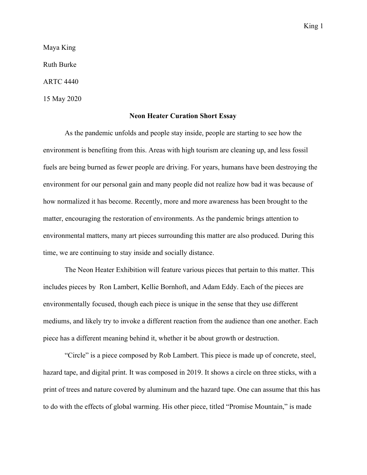King 1

Maya King Ruth Burke

ARTC 4440

15 May 2020

## **Neon Heater Curation Short Essay**

As the pandemic unfolds and people stay inside, people are starting to see how the environment is benefiting from this. Areas with high tourism are cleaning up, and less fossil fuels are being burned as fewer people are driving. For years, humans have been destroying the environment for our personal gain and many people did not realize how bad it was because of how normalized it has become. Recently, more and more awareness has been brought to the matter, encouraging the restoration of environments. As the pandemic brings attention to environmental matters, many art pieces surrounding this matter are also produced. During this time, we are continuing to stay inside and socially distance.

The Neon Heater Exhibition will feature various pieces that pertain to this matter. This includes pieces by Ron Lambert, Kellie Bornhoft, and Adam Eddy. Each of the pieces are environmentally focused, though each piece is unique in the sense that they use different mediums, and likely try to invoke a different reaction from the audience than one another. Each piece has a different meaning behind it, whether it be about growth or destruction.

"Circle" is a piece composed by Rob Lambert. This piece is made up of concrete, steel, hazard tape, and digital print. It was composed in 2019. It shows a circle on three sticks, with a print of trees and nature covered by aluminum and the hazard tape. One can assume that this has to do with the effects of global warming. His other piece, titled "Promise Mountain," is made